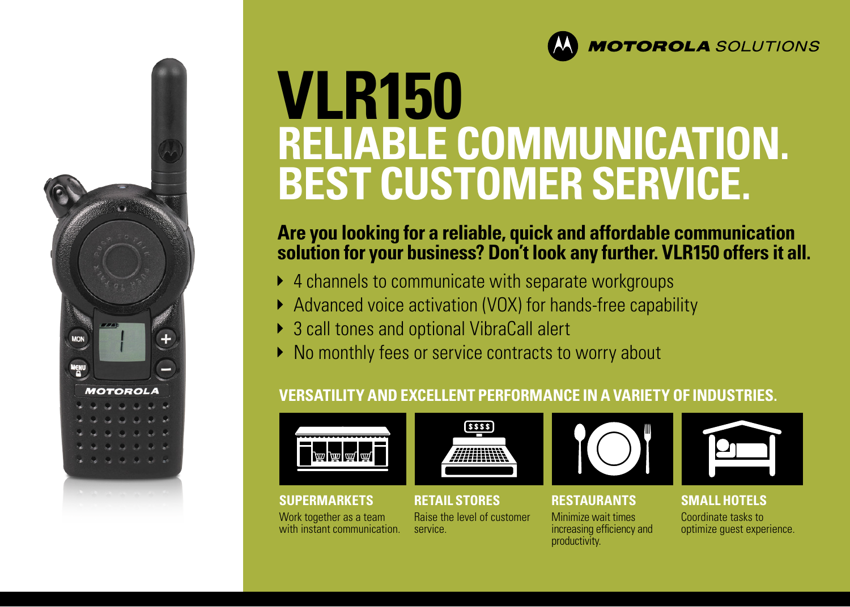

# **VLR150 RELIABLE COMMUNICATION. BEST CUSTOMER SERVICE.**

# **Are you looking for a reliable, quick and affordable communication solution for your business? Don't look any further. VLR150 offers it all.**

- ▶ 4 channels to communicate with separate workgroups
- Advanced voice activation (VOX) for hands-free capability
- ▶ 3 call tones and optional VibraCall alert

service.

▶ No monthly fees or service contracts to worry about

# **VERSATILITY AND EXCELLENT PERFORMANCE IN A VARIETY OF INDUSTRIES.**



**MENU** 

**MOTOROLA** 

Work together as a team with instant communication.



**SUPERMARKETS RETAIL STORES RESTAURANTS SMALL HOTELS** 





### Minimize wait times increasing efficiency and productivity.



# Coordinate tasks to optimize guest experience.